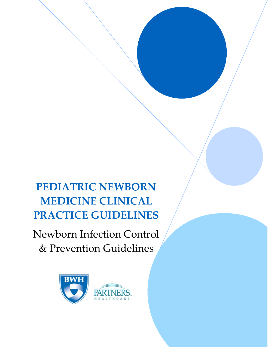**PEDIATRIC NEWBORN MEDICINE CLINICAL PRACTICE GUIDELINES**

Newborn Infection Control & Prevention Guidelines

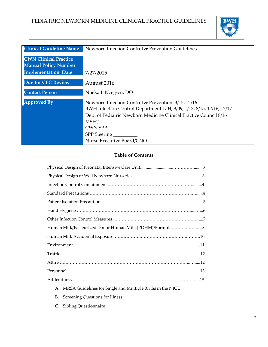

| <b>Clinical Guideline Name</b> | Newborn Infection Control & Prevention Guidelines                     |
|--------------------------------|-----------------------------------------------------------------------|
|                                |                                                                       |
| <b>CWN Clinical Practice</b>   |                                                                       |
| <b>Manual Policy Number</b>    |                                                                       |
|                                |                                                                       |
| <b>Implementation Date</b>     | 7/27/2015                                                             |
|                                |                                                                       |
| <b>Due for CPC Review</b>      | August 2016                                                           |
|                                |                                                                       |
| <b>Contact Person</b>          | Nneka I. Nzegwu, DO                                                   |
|                                |                                                                       |
| <b>Approved By</b>             | Newborn Infection Control & Prevention 3/15, 12/16                    |
|                                | BWH Infection Control Department 1/04, 9/09, 1/13, 8/15, 12/16, 12/17 |
|                                | Dept of Pediatric Newborn Medicine Clinical Practice Council 8/16     |
|                                | <b>MSEC</b>                                                           |
|                                | CWN SPP                                                               |
|                                |                                                                       |
|                                | SPP Steering                                                          |
|                                | Nurse Executive Board/CNO                                             |
|                                |                                                                       |

# **Table of Contents**

| A. MRSA Guidelines for Single and Multiple Births in the NICU |
|---------------------------------------------------------------|

- B. Screening Questions for Illness
- C. Sibling Questionnaire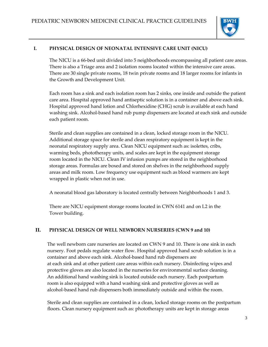

#### **I. PHYSICAL DESIGN OF NEONATAL INTENSIVE CARE UNIT (NICU)**

The NICU is a 66-bed unit divided into 5 neighborhoods encompassing all patient care areas. There is also a Triage area and 2 isolation rooms located within the intensive care areas. There are 30 single private rooms, 18 twin private rooms and 18 larger rooms for infants in the Growth and Development Unit.

Each room has a sink and each isolation room has 2 sinks, one inside and outside the patient care area. Hospital approved hand antiseptic solution is in a container and above each sink. Hospital approved hand lotion and Chlorhexidine (CHG) scrub is available at each hand washing sink. Alcohol-based hand rub pump dispensers are located at each sink and outside each patient room.

Sterile and clean supplies are contained in a clean, locked storage room in the NICU. Additional storage space for sterile and clean respiratory equipment is kept in the neonatal respiratory supply area. Clean NICU equipment such as: isolettes, cribs, warming beds, phototherapy units, and scales are kept in the equipment storage room located in the NICU. Clean IV infusion pumps are stored in the neighborhood storage areas. Formulas are boxed and stored on shelves in the neighborhood supply areas and milk room. Low frequency use equipment such as blood warmers are kept wrapped in plastic when not in use.

A neonatal blood gas laboratory is located centrally between Neighborhoods 1 and 3.

There are NICU equipment storage rooms located in CWN 6141 and on L2 in the Tower building.

#### **II. PHYSICAL DESIGN OF WELL NEWBORN NURSERIES (CWN 9 and 10)**

The well newborn care nurseries are located on CWN 9 and 10. There is one sink in each nursery. Foot pedals regulate water flow. Hospital approved hand scrub solution is in a container and above each sink. Alcohol‐based hand rub dispensers are at each sink and at other patient care areas within each nursery. Disinfecting wipes and protective gloves are also located in the nurseries for environmental surface cleaning. An additional hand washing sink is located outside each nursery. Each postpartum room is also equipped with a hand washing sink and protective gloves as well as alcohol-based hand rub dispensers both immediately outside and within the room.

Sterile and clean supplies are contained in a clean, locked storage rooms on the postpartum floors. Clean nursery equipment such as: phototherapy units are kept in storage areas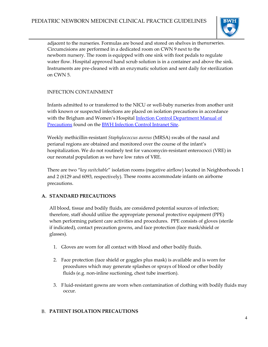

adjacent to the nurseries. Formulas are boxed and stored on shelves in thenurseries. Circumcisions are performed in a dedicated room on CWN 9 next to the newborn nursery. The room is equipped with one sink with foot pedals to regulate water flow. Hospital approved hand scrub solution is in a container and above the sink. Instruments are pre‐cleaned with an enzymatic solution and sent daily for sterilization on CWN 5.

#### INFECTION CONTAINMENT

Infants admitted to or transferred to the NICU or well‐baby nurseries from another unit with known or suspected infections are placed on isolation precautions in accordance with the Brigham and Women's Hospital Infection Control Department Manual of Precautions found on the **BWH Infection Control Intranet Site**.

Weekly methicillin‐resistant *Staphylococcus aureus* (MRSA) swabs of the nasal and perianal regions are obtained and monitored over the course of the infant's hospitalization. We do not routinely test for vancomycin‐resistant enterococci (VRE) in our neonatal population as we have low rates of VRE.

There are two "*key switchable*" isolation rooms (negative airflow) located in Neighborhoods 1 and 2 (6129 and 6093, respectively). These rooms accommodate infants on airborne precautions.

#### **A. STANDARD PRECAUTIONS**

All blood, tissue and bodily fluids, are considered potential sources of infection; therefore, staff should utilize the appropriate personal protective equipment (PPE) when performing patient care activities and procedures. PPE consists of gloves (sterile if indicated), contact precaution gowns, and face protection (face mask/shield or glasses).

- 1. Gloves are worn for all contact with blood and other bodily fluids.
- 2. Face protection (face shield or goggles plus mask) is available and is worn for procedures which may generate splashes or sprays of blood or other bodily fluids (e.g. non-inline suctioning, chest tube insertion).
- 3. Fluid‐resistant gowns are worn when contamination of clothing with bodily fluids may occur.

#### B. **PATIENT ISOLATION PRECAUTIONS**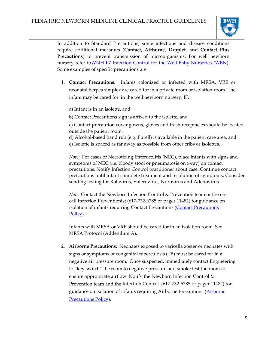

In addition to Standard Precautions, some infections and disease conditions require additional measures (**Contact, Airborne, Droplet, and Contact Plus Precautions**) to prevent transmission of microorganisms. For well newborn nursery refer toWNH I.7 Infection Control for the Well Baby Nurseries (WBN). Some examples of specific precautions are:

- 1. **Contact Precautions:**  Infants colonized or infected with MRSA, VRE or neonatal herpes simplex are cared for in a private room or isolation room. The infant may be cared for in the well newborn nursery, IF:
	- a) Infant is in an isolette, and

b) Contact Precautions sign is affixed to the isolette, and

c) Contact precaution cover gowns, gloves and trash receptacles should be located outside the patient room.

d) Alcohol-based hand rub (e.g. Purell) is available in the patient care area, and e) Isolette is spaced as far away as possible from other cribs or isolettes.

*Note:* For cases of Necrotizing Enterocolitis (NEC), place infants with signs and symptoms of NEC (i.e. bloody stool or pneumatosis on x‐ray) on contact precautions. Notify Infection Control practitioner about case. Continue contact precautions until infant complete treatment and resolution of symptoms. Consider sending testing for Rotavirus, Enterovirus, Norovirus and Adenovirus.

*Note:* Contact the Newborn Infection Control & Prevention team or the oncall Infection Preventionist (617‐732‐6785 or pager 11482) for guidance on isolation of infants requiring Contact Precautions (Contact Precautions Policy).

Infants with MRSA or VRE should be cared for in an isolation room. See MRSA Protocol (Addendum A).

2. **Airborne Precautions:** Neonates exposed to varicella zoster or neonates with signs or symptoms of congenital tuberculosis (TB) must be cared for in a negative air pressure room. Once suspected, immediately contact Engineering to "key switch" the room to negative pressure and smoke test the room to ensure appropriate airflow. Notify the Newborn Infection Control & Prevention team and the Infection Control (617‐732‐6785 or pager 11482) for guidance on isolation of infants requiring Airborne Precautions (Airborne Precautions Policy).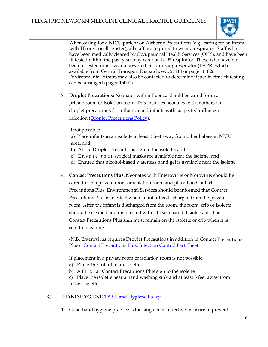

When caring for a NICU patient on Airborne Precautions (e.g., caring for an infant with TB or varicella zoster), all staff are required to wear a respirator. Staff who have been medically cleared by Occupational Health Services (OHS), and have been fit tested within the past year may wear an N‐95 respirator. Those who have not been fit tested must wear a powered air purifying respirator (PAPR) which is available from Central Transport Dispatch, ext. 27114 or pager 11826. Environmental Affairs may also be contacted to determine if just‐in‐time fit testing can be arranged (pager 15000).

3. **Droplet Precautions:** Neonates with influenza should be cared for in a private room or isolation room. This includes neonates with mothers on droplet precautions for influenza and infants with suspected influenza infection (Droplet Precautions Policy).

#### If not possible:

a) Place infants in an isolette at least 3 feet away from other babies in NICU area, and

- b) Affix Droplet Precautions sign to the isolette, and
- c) Ensure that surgical masks are available near the isolette, and
- d) Ensure that alcohol‐based waterless hand gel is available near the isolette
- 4. **Contact Precautions Plus:** Neonates with Enterovirus or Norovirus should be cared for in a private room or isolation room and placed on Contact Precautions Plus. Environmental Services should be informed that Contact Precautions Plus is in effect when an infant is discharged from the private room. After the infant is discharged from the room, the room, crib or isolette should be cleaned and disinfected with a bleach based disinfectant. The Contact Precautions Plus sign must remain on the isolette or crib when it is sent for cleaning.

(N.B. Enterovirus requires Droplet Precautions in addition to Contact Precautions Plus) Contact Precautions Plus: Infection Control Fact Sheet

If placement in a private room or isolation room is not possible:

- a) Place the infant in an isolette
- b) Affix a Contact Precautions Plus sign to the isolette

c) Place the isolette near a hand washing sink and at least 3 feet away from other isolettes

#### **C. HAND HYGIENE** 1.8.5 Hand Hygiene Policy

1. Good hand hygiene practice is the single most effective measure to prevent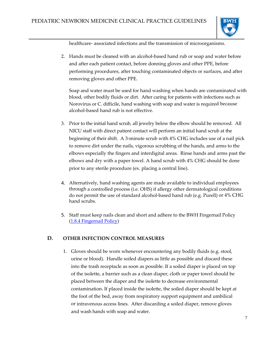

healthcare- associated infections and the transmission of microorganisms.

2. Hands must be cleaned with an alcohol‐based hand rub or soap and water before and after each patient contact, before donning gloves and other PPE, before performing procedures, after touching contaminated objects or surfaces, and after removing gloves and other PPE.

Soap and water must be used for hand washing when hands are contaminated with blood, other bodily fluids or dirt. After caring for patients with infections such as Norovirus or C. difficile, hand washing with soap and water is required because alcohol‐based hand rub is not effective.

- 3. Prior to the initial hand scrub, all jewelry below the elbow should be removed. All NICU staff with direct patient contact will perform an initial hand scrub at the beginning of their shift. A 3‐minute scrub with 4% CHG includes use of a nail pick to remove dirt under the nails, vigorous scrubbing of the hands, and arms to the elbows especially the fingers and interdigital areas. Rinse hands and arms past the elbows and dry with a paper towel. A hand scrub with 4% CHG should be done prior to any sterile procedure (ex. placing a central line).
- 4. Alternatively, hand washing agents are made available to individual employees through a controlled process (i.e. OHS) if allergy other dermatological conditions do not permit the use of standard alcohol‐based hand rub (e.g. Purell) or 4% CHG hand scrubs.
- 5. Staff must keep nails clean and short and adhere to the BWH Fingernail Policy (1.8.4 Fingernail Policy)

#### **D. OTHER INFECTION CONTROL MEASURES**

1. Gloves should be worn whenever encountering any bodily fluids (e.g. stool, urine or blood). Handle soiled diapers as little as possible and discard these into the trash receptacle as soon as possible. If a soiled diaper is placed on top of the isolette, a barrier such as a clean diaper, cloth or paper towel should be placed between the diaper and the isolette to decrease environmental contamination. If placed inside the isolette, the soiled diaper should be kept at the foot of the bed, away from respiratory support equipment and umbilical or intravenous access lines. After discarding a soiled diaper, remove gloves and wash hands with soap and water.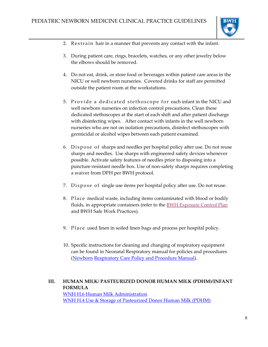

- 2. Restrain hair in a manner that prevents any contact with the infant.
- 3. During patient care, rings, bracelets, watches, or any other jewelry below the elbows should be removed.
- 4. Do not eat, drink, or store food or beverages within patient care areas in the NICU or well newborn nurseries. Covered drinks for staff are permitted outside the patient room at the workstations.
- 5. Provide a dedicated stethoscope for each infant in the NICU and well newborn nurseries on infection control precautions. Clean these dedicated stethoscopes at the start of each shift and after patient discharge with disinfecting wipes. After contact with infants in the well newborn nurseries who are not on isolation precautions, disinfect stethoscopes with germicidal or alcohol wipes between each patient examined.
- 6. Dispose o f sharps and needles per hospital policy after use. Do not reuse sharps and needles. Use sharps with engineered safety devices whenever possible. Activate safety features of needles prior to disposing into a puncture‐resistant needle box. Use of non‐safety sharps requires completing a waiver from DPH per BWH protocol.
- 7. Dispose of single use items per hospital policy after use. Do not reuse.
- 8. Place medical waste, including items contaminated with blood or bodily fluids, in appropriate containers (refer to the BWH Exposure Control Plan and BWH Safe Work Practices).
- 9. Place used linen in soiled linen bags and process per hospital policy.
- 10. Specific instructions for cleaning and changing of respiratory equipment can be found in Neonatal Respiratory manual for policies and procedures (Newborn Respiratory Care Policy and Procedure Manual).

#### **III. HUMAN MILK/ PASTEURIZED DONOR HUMAN MILK (PDHM)/INFANT FORMULA** WNH H.6 Human Milk Administration WNH H.4 Use & Storage of Pasteurized Donor Human Milk (PDHM)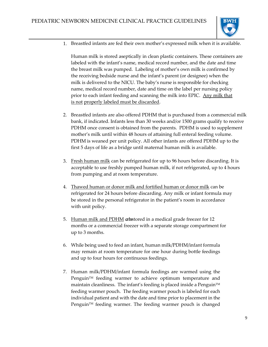

1. Breastfed infants are fed their own mother's expressed milk when it is available.

Human milk is stored aseptically in clean plastic containers. These containers are labeled with the infant's name, medical record number, and the date and time the breast milk was pumped. Labeling of mother's own milk is confirmed by the receiving bedside nurse and the infant's parent (or designee) when the milk is delivered to the NICU. The baby's nurse is responsible for checking name, medical record number, date and time on the label per nursing policy prior to each infant feeding and scanning the milk into EPIC. Any milk that is not properly labeled must be discarded.

- 2. Breastfed infants are also offered PDHM that is purchased from a commercial milk bank, if indicated. Infants less than 30 weeks and/or 1500 grams qualify to receive PDHM once consent is obtained from the parents. PDHM is used to supplement mother's milk until within 48 hours of attaining full enteral feeding volume. PDHM is weaned per unit policy. All other infants are offered PDHM up to the first 5 days of life as a bridge until maternal human milk is available.
- 3. Fresh human milk can be refrigerated for up to 96 hours before discarding. It is acceptable to use freshly pumped human milk, if not refrigerated, up to 4 hours from pumping and at room temperature.
- 4. Thawed human or donor milk and fortified human or donor milk can be refrigerated for 24 hours before discarding. Any milk or infant formula may be stored in the personal refrigerator in the patient's room in accordance with unit policy.
- 5. Human milk and PDHM catestored in a medical grade freezer for 12 months or a commercial freezer with a separate storage compartment for up to 3 months.
- 6. While being used to feed an infant, human milk/PDHM/infant formula may remain at room temperature for one hour during bottle feedings and up to four hours for continuous feedings.
- 7. Human milk/PDHM/infant formula feedings are warmed using the Penguin™ feeding warmer to achieve optimum temperature and maintain cleanliness. The infant's feeding is placed inside a Penguin $TM$ feeding warmer pouch. The feeding warmer pouch is labeled for each individual patient and with the date and time prior to placement in the Penguin™ feeding warmer. The feeding warmer pouch is changed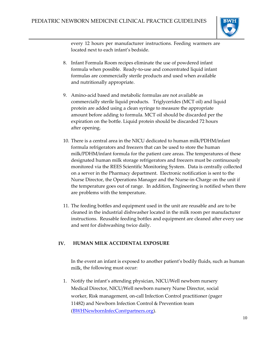

every 12 hours per manufacturer instructions. Feeding warmers are located next to each infant's bedside.

- 8. Infant Formula Room recipes eliminate the use of powdered infant formula when possible. Ready‐to‐use and concentrated liquid infant formulas are commercially sterile products and used when available and nutritionally appropriate.
- 9. Amino‐acid based and metabolic formulas are not available as commercially sterile liquid products. Triglycerides (MCT oil) and liquid protein are added using a clean syringe to measure the appropriate amount before adding to formula. MCT oil should be discarded per the expiration on the bottle. Liquid protein should be discarded 72 hours after opening.
- 10. There is a central area in the NICU dedicated to human milk/PDHM/infant formula refrigerators and freezers that can be used to store the human milk/PDHM/infant formula for the patient care areas. The temperatures of these designated human milk storage refrigerators and freezers must be continuously monitored via the REES Scientific Monitoring System. Data is centrally collected on a server in the Pharmacy department. Electronic notification is sent to the Nurse Director, the Operations Manager and the Nurse‐in‐Charge on the unit if the temperature goes out of range. In addition, Engineering is notified when there are problems with the temperature.
- 11. The feeding bottles and equipment used in the unit are reusable and are to be cleaned in the industrial dishwasher located in the milk room per manufacturer instructions. Reusable feeding bottles and equipment are cleaned after every use and sent for dishwashing twice daily.

#### **IV. HUMAN MILK ACCIDENTAL EXPOSURE**

In the event an infant is exposed to another patient's bodily fluids, such as human milk, the following must occur:

1. Notify the infant's attending physician, NICU/Well newborn nursery Medical Director, NICU/Well newborn nursery Nurse Director, social worker, Risk management, on‐call Infection Control practitioner (pager 11482) and Newborn Infection Control & Prevention team (BWHNewbornInfecCon@partners.org).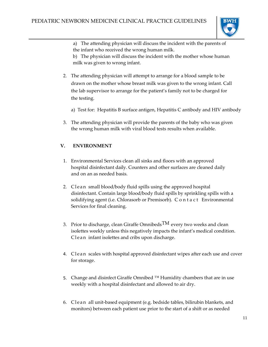

a) The attending physician will discuss the incident with the parents of the infant who received the wrong human milk. b) The physician will discuss the incident with the mother whose human

milk was given to wrong infant.

- 2. The attending physician will attempt to arrange for a blood sample to be drawn on the mother whose breast milk was given to the wrong infant. Call the lab supervisor to arrange for the patient's family not to be charged for the testing.
	- a) Test for: Hepatitis B surface antigen, Hepatitis C antibody and HIV antibody
- 3. The attending physician will provide the parents of the baby who was given the wrong human milk with viral blood tests results when available.

## **V. ENVIRONMENT**

- 1. Environmental Services clean all sinks and floors with an approved hospital disinfectant daily. Counters and other surfaces are cleaned daily and on an as needed basis.
- 2. Clean small blood/body fluid spills using the approved hospital disinfectant. Contain large blood/body fluid spills by sprinkling spills with a solidifying agent (i.e. Chlorasorb or Premisorb). C o n t a c t Environmental Services for final cleaning.
- 3. Prior to discharge, clean Giraffe Omnibeds<sup>TM</sup> every two weeks and clean isolettes weekly unless this negatively impacts the infant's medical condition. Clean infant isolettes and cribs upon discharge.
- 4. Clean scales with hospital approved disinfectant wipes after each use and cover for storage.
- 5. Change and disinfect Giraffe Omnibed  $TM$  Humidity chambers that are in use weekly with a hospital disinfectant and allowed to air dry.
- 6. Clean all unit‐based equipment (e.g. bedside tables, bilirubin blankets, and monitors) between each patient use prior to the start of a shift or as needed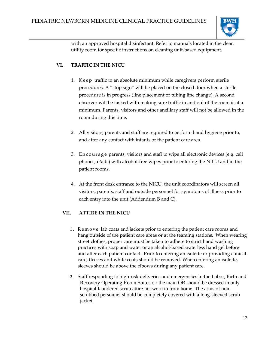

with an approved hospital disinfectant. Refer to manuals located in the clean utility room for specific instructions on cleaning unit‐based equipment.

## **VI. TRAFFIC IN THE NICU**

- 1. Keep traffic to an absolute minimum while caregivers perform sterile procedures. A "stop sign" will be placed on the closed door when a sterile procedure is in progress (line placement or tubing line change). A second observer will be tasked with making sure traffic in and out of the room is at a minimum. Parents, visitors and other ancillary staff will not be allowed in the room during this time.
- 2. All visitors, parents and staff are required to perform hand hygiene prior to, and after any contact with infants or the patient care area.
- 3. Encourage parents, visitors and staff to wipe all electronic devices (e.g. cell phones, iPads) with alcohol‐free wipes prior to entering the NICU and in the patient rooms.
- 4. At the front desk entrance to the NICU, the unit coordinators will screen all visitors, parents, staff and outside personnel for symptoms of illness prior to each entry into the unit (Addendum B and C).

## **VII. ATTIRE IN THE NICU**

- 1 . Remove lab coats and jackets prior to entering the patient care rooms and hang outside of the patient care areas or at the teaming stations. When wearing street clothes, proper care must be taken to adhere to strict hand washing practices with soap and water or an alcohol‐based waterless hand gel before and after each patient contact. Prior to entering an isolette or providing clinical care, fleeces and white coats should be removed. When entering an isolette, sleeves should be above the elbows during any patient care.
- 2. Staff responding to high‐risk deliveries and emergencies in the Labor, Birth and Recovery Operating Room Suites o r the main OR should be dressed in only hospital laundered scrub attire not worn in from home. The arms of nonscrubbed personnel should be completely covered with a long-sleeved scrub jacket.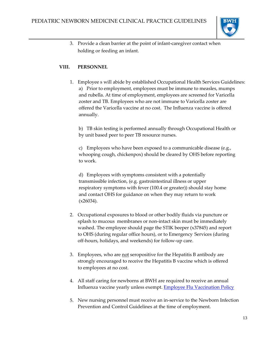

3. Provide a clean barrier at the point of infant‐caregiver contact when holding or feeding an infant.

#### **VIII. PERSONNEL**

1. Employee s will abide by established Occupational Health Services Guidelines: a) Prior to employment, employees must be immune to measles, mumps and rubella. At time of employment, employees are screened for Varicella zoster and TB. Employees who are not immune to Varicella zoster are offered the Varicella vaccine at no cost. The Influenza vaccine is offered annually.

b) TB skin testing is performed annually through Occupational Health or by unit based peer to peer TB resource nurses.

c) Employees who have been exposed to a communicable disease (e.g., whooping cough, chickenpox) should be cleared by OHS before reporting to work.

d) Employees with symptoms consistent with a potentially transmissible infection, (e.g. gastrointestinal illness or upper respiratory symptoms with fever (100.4 or greater)) should stay home and contact OHS for guidance on when they may return to work  $(x26034)$ .

- 2. Occupational exposures to blood or other bodily fluids via puncture or splash to mucous membranes or non‐intact skin must be immediately washed. The employee should page the STIK beeper (x37845) and report to OHS (during regular office hours), or to Emergency Services (during off‐hours, holidays, and weekends) for follow‐up care.
- 3. Employees, who are not seropositive for the Hepatitis B antibody are strongly encouraged to receive the Hepatitis B vaccine which is offered to employees at no cost.
- 4. All staff caring for newborns at BWH are required to receive an annual Influenza vaccine yearly unless exempt. Employee Flu Vaccination Policy
- 5. New nursing personnel must receive an in‐service to the Newborn Infection Prevention and Control Guidelines at the time of employment.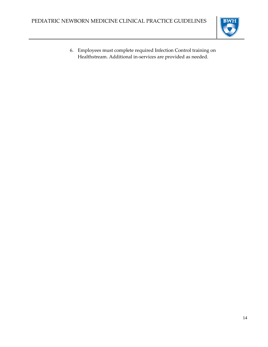

6. Employees must complete required Infection Control training on Healthstream. Additional in-services are provided as needed.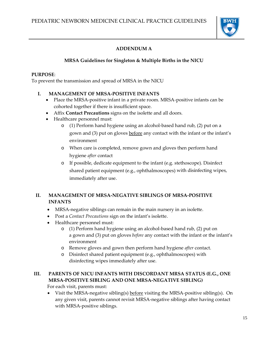

#### **ADDENDUM A**

#### **MRSA Guidelines for Singleton & Multiple Births in the NICU**

#### **PURPOSE**:

To prevent the transmission and spread of MRSA in the NICU

#### **I. MANAGEMENT OF MRSA‐POSITIVE INFANTS**

- Place the MRSA-positive infant in a private room. MRSA-positive infants can be cohorted together if there is insufficient space.
- Affix **Contact Precautions** signs on the isolette and all doors.
- Healthcare personnel must:
	- o (1) Perform hand hygiene using an alcohol‐based hand rub, (2) put on a gown and (3) put on gloves before any contact with the infant or the infant's environment
	- o When care is completed, remove gown and gloves then perform hand hygiene *after* contact
	- o If possible, dedicate equipment to the infant (e.g. stethoscope). Disinfect shared patient equipment (e.g., ophthalmoscopes) with disinfecting wipes, immediately after use.

## **II. MANAGEMENT OF MRSA‐NEGATIVE SIBLINGS OF MRSA‐POSITIVE INFANTS**

- MRSA-negative siblings can remain in the main nursery in an isolette.
- Post a *Contact Precautions* sign on the infant's isolette.
- Healthcare personnel must:
	- o (1) Perform hand hygiene using an alcohol‐based hand rub, (2) put on a gown and (3) put on gloves *before* any contact with the infant or the infant's environment
	- o Remove gloves and gown then perform hand hygiene *after* contact.
	- o Disinfect shared patient equipment (e.g., ophthalmoscopes) with disinfecting wipes immediately after use.

# **III. PARENTS OF NICU INFANTS WITH DISCORDANT MRSA STATUS (E.G., ONE MRSA‐POSITIVE SIBLING AND ONE MRSA‐NEGATIVE SIBLING)**

For each visit, parents must:

 Visit the MRSA‐negative sibling(s) before visiting the MRSA‐positive sibling(s). On any given visit, parents cannot revisit MRSA‐negative siblings after having contact with MRSA‐positive siblings.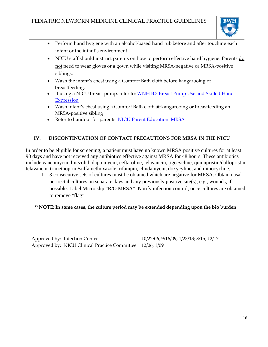

- Perform hand hygiene with an alcohol-based hand rub before and after touching each infant or the infant's environment.
- NICU staff should instruct parents on how to perform effective hand hygiene. Parents do not need to wear gloves or a gown while visiting MRSA‐negative or MRSA‐positive siblings.
- Wash the infant's chest using a Comfort Bath cloth before kangarooing or breastfeeding.
- If using a NICU breast pump, refer to: WNH B.3 Breast Pump Use and Skilled Hand Expression
- Wash infant's chest using a Comfort Bath cloth at rkangarooing or breastfeeding an MRSA‐positive sibling
- Refer to handout for parents: NICU Parent Education: MRSA

# **IV. DISCONTINUATION OF CONTACT PRECAUTIONS FOR MRSA IN THE NICU**

In order to be eligible for screening, a patient must have no known MRSA positive cultures for at least 90 days and have not received any antibiotics effective against MRSA for 48 hours. These antibiotics include vancomycin, linezolid, daptomycin, ceftaroline, telavancin, tigecycline, quinupristin/dalfopristin, telavancin, trimethoprim/sulfamethoxazole, rifampin, clindamycin, doxycyline, and minocycline.

1. 3 consecutive sets of cultures must be obtained which are negative for MRSA. Obtain nasal perirectal cultures on separate days and any previously positive site(s), e.g., wounds, if possible. Label Micro slip "R/O MRSA". Notify infection control, once cultures are obtained, to remove "flag".

## \*\***NOTE: In some cases, the culture period may be extended depending upon the bio burden**

Approved by: Infection Control 10/22/06, 9/16/09, 1/23/13; 8/15, 12/17 Approved by: NICU Clinical Practice Committee 12/06, 1/09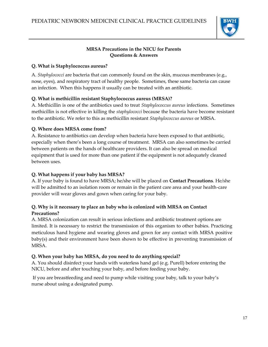

#### **MRSA Precautions in the NICU for Parents Questions & Answers**

## **Q. What is Staphylococcus aureus?**

A. *Staphylococci* are bacteria that can commonly found on the skin, mucous membranes (e.g., nose, eyes), and respiratory tract of healthy people. Sometimes, these same bacteria can cause an infection. When this happens it usually can be treated with an antibiotic.

## **Q. What is methicillin resistant Staphylococcus aureus (MRSA)?**

A. Methicillin is one of the antibiotics used to treat *Staphylococcus aureus* infections. Sometimes methicillin is not effective in killing the *staphylococci* because the bacteria have become resistant to the antibiotic. We refer to this as methicillin resistant *Staphylococcus aureus* or MRSA.

## **Q. Where does MRSA come from?**

A. Resistance to antibiotics can develop when bacteria have been exposed to that antibiotic, especially when there's been a long course of treatment. MRSA can also sometimes be carried between patients on the hands of healthcare providers. It can also be spread on medical equipment that is used for more than one patient if the equipment is not adequately cleaned between uses.

## **Q. What happens if your baby has MRSA?**

A. If your baby is found to have MRSA; he/she will be placed on **Contact Precautions***.* He/she will be admitted to an isolation room or remain in the patient care area and your health-care provider will wear gloves and gown when caring for your baby.

## **Q. Why is it necessary to place an baby who is colonized with MRSA on Contact Precautions?**

A. MRSA colonization can result in serious infections and antibiotic treatment options are limited. It is necessary to restrict the transmission of this organism to other babies. Practicing meticulous hand hygiene and wearing gloves and gown for any contact with MRSA positive baby(s) and their environment have been shown to be effective in preventing transmission of MRSA.

## **Q. When your baby has MRSA, do you need to do anything special?**

A. You should disinfect your hands with waterless hand gel (e.g. Purell) before entering the NICU, before and after touching your baby, and before feeding your baby.

If you are breastfeeding and need to pump while visiting your baby, talk to your baby's nurse about using a designated pump.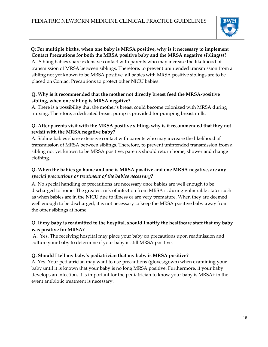

#### **Q: For multiple births, when one baby is MRSA positive, why is it necessary to implement Contact Precautions for both the MRSA positive baby and the MRSA negative sibling(s)?**

A. Sibling babies share extensive contact with parents who may increase the likelihood of transmission of MRSA between siblings. Therefore, to prevent unintended transmission from a sibling not yet known to be MRSA positive, all babies with MRSA positive siblings are to be placed on Contact Precautions to protect other NICU babies.

#### **Q. Why is it recommended that the mother not directly breast feed the MRSA‐positive sibling, when one sibling is MRSA negative?**

A. There is a possibility that the mother's breast could become colonized with MRSA during nursing. Therefore, a dedicated breast pump is provided for pumping breast milk.

#### **Q. After parents visit with the MRSA positive sibling, why is it recommended that they not revisit with the MRSA negative baby?**

A. Sibling babies share extensive contact with parents who may increase the likelihood of transmission of MRSA between siblings. Therefore, to prevent unintended transmission from a sibling not yet known to be MRSA positive, parents should return home, shower and change clothing.

## **Q. When the babies go home and one is MRSA positive and one MRSA negative, are any** *special precautions or treatment of the babies necessary?*

A. No special handling or precautions are necessary once babies are well enough to be discharged to home. The greatest risk of infection from MRSA is during vulnerable states such as when babies are in the NICU due to illness or are very premature. When they are deemed well enough to be discharged, it is not necessary to keep the MRSA positive baby away from the other siblings at home.

## **Q. If my baby is readmitted to the hospital, should I notify the healthcare staff that my baby was positive for MRSA?**

A. Yes. The receiving hospital may place your baby on precautions upon readmission and culture your baby to determine if your baby is still MRSA positive.

## **Q. Should I tell my baby's pediatrician that my baby is MRSA positive?**

A. Yes. Your pediatrician may want to use precautions (gloves/gown) when examining your baby until it is known that your baby is no long MRSA positive. Furthermore, if your baby develops an infection, it is important for the pediatrician to know your baby is MRSA+ in the event antibiotic treatment is necessary.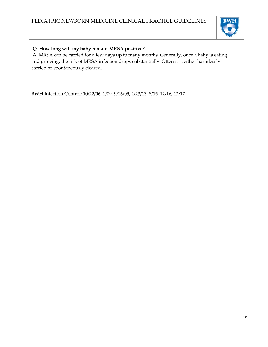

## **Q. How long will my baby remain MRSA positive?**

A. MRSA can be carried for a few days up to many months. Generally, once a baby is eating and growing, the risk of MRSA infection drops substantially. Often it is either harmlessly carried or spontaneously cleared.

BWH Infection Control: 10/22/06, 1/09, 9/16/09, 1/23/13, 8/15, 12/16, 12/17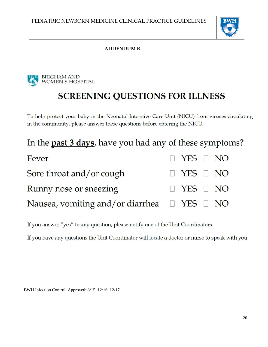

#### **ADDENDUM B**



# **SCREENING QUESTIONS FOR ILLNESS**

To help protect your baby in the Neonatal Intensive Care Unit (NICU) from viruses circulating in the community, please answer these questions before entering the NICU.

In the **past 3 days**, have you had any of these symptoms?

| Fever                                                 | $\Box$ YES $\Box$ NO |
|-------------------------------------------------------|----------------------|
| Sore throat and/or cough                              | $\Box$ YES $\Box$ NO |
| Runny nose or sneezing                                | $\Box$ YES $\Box$ NO |
| Nausea, vomiting and/or diarrhea $\Box$ YES $\Box$ NO |                      |

If you answer "yes" to any question, please notify one of the Unit Coordinators.

If you have any questions the Unit Coordinator will locate a doctor or nurse to speak with you.

BWH Infection Control: Approved: 8/15, 12/16, 12/17